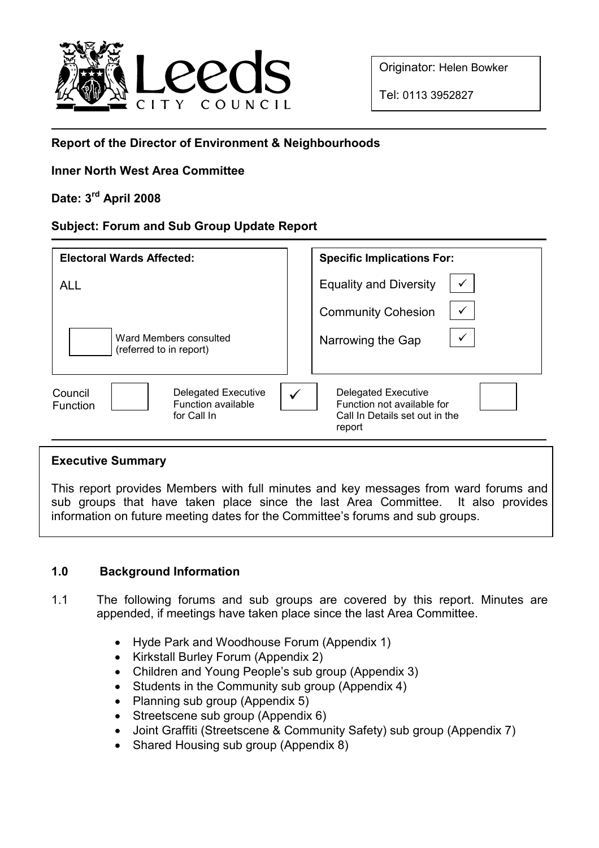

Originator: Helen Bowker

Tel: 0113 3952827

## Report of the Director of Environment & Neighbourhoods

## Inner North West Area Committee

# Date: 3rd April 2008

### Subject: Forum and Sub Group Update Report

| <b>Electoral Wards Affected:</b>                                                | <b>Specific Implications For:</b>                                                                    |
|---------------------------------------------------------------------------------|------------------------------------------------------------------------------------------------------|
| <b>ALL</b>                                                                      | <b>Equality and Diversity</b>                                                                        |
|                                                                                 | <b>Community Cohesion</b>                                                                            |
| Ward Members consulted<br>(referred to in report)                               | Narrowing the Gap                                                                                    |
| Delegated Executive<br>Council<br>Function available<br>Function<br>for Call In | <b>Delegated Executive</b><br>Function not available for<br>Call In Details set out in the<br>report |

#### Executive Summary

This report provides Members with full minutes and key messages from ward forums and sub groups that have taken place since the last Area Committee. It also provides information on future meeting dates for the Committee's forums and sub groups.

## 1.0 Background Information

- 1.1 The following forums and sub groups are covered by this report. Minutes are appended, if meetings have taken place since the last Area Committee.
	- Hyde Park and Woodhouse Forum (Appendix 1)
	- Kirkstall Burley Forum (Appendix 2)
	- Children and Young People's sub group (Appendix 3)
	- Students in the Community sub group (Appendix 4)
	- Planning sub group (Appendix 5)
	- Streetscene sub group (Appendix 6)
	- Joint Graffiti (Streetscene & Community Safety) sub group (Appendix 7)
	- Shared Housing sub group (Appendix 8)